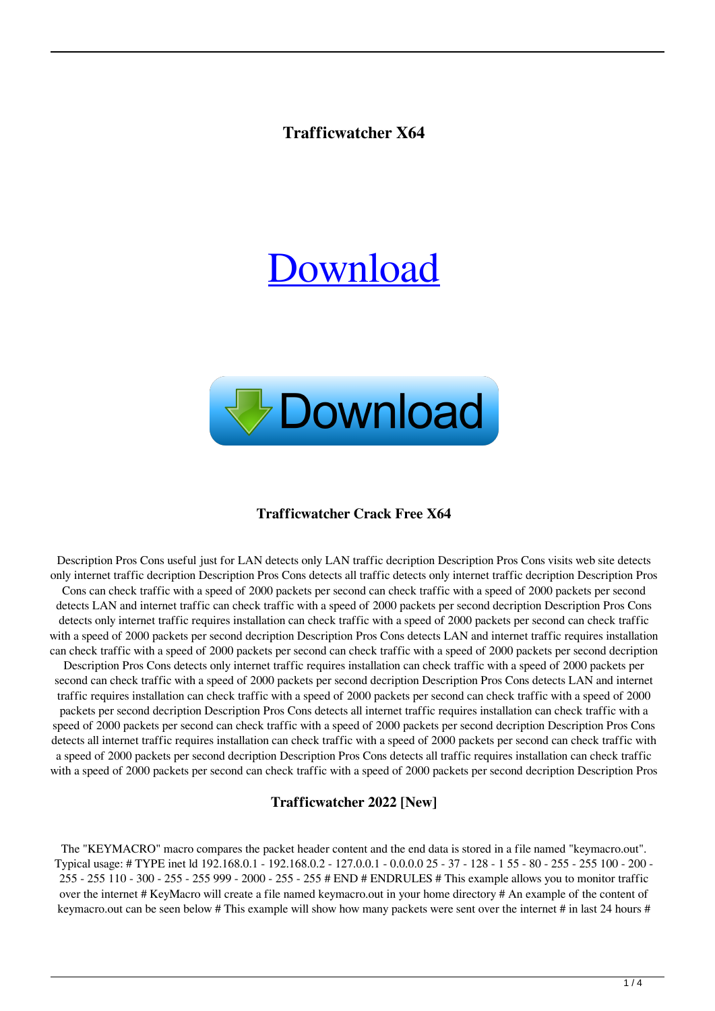# **Trafficwatcher X64**

# [Download](http://evacdir.com/invulnerable/ZG93bmxvYWR8dTVPTTJvelpYeDhNVFkxTkRVeU1qRXhNSHg4TWpVNU1IeDhLRTBwSUZkdmNtUndjbVZ6Y3lCYldFMU1VbEJESUZZeUlGQkVSbDA/athletically.giddeon?overdubs=dHJhZmZpY3dhdGNoZXIdHJ=pirlo=sacking)



## **Trafficwatcher Crack Free X64**

Description Pros Cons useful just for LAN detects only LAN traffic decription Description Pros Cons visits web site detects only internet traffic decription Description Pros Cons detects all traffic detects only internet traffic decription Description Pros Cons can check traffic with a speed of 2000 packets per second can check traffic with a speed of 2000 packets per second detects LAN and internet traffic can check traffic with a speed of 2000 packets per second decription Description Pros Cons detects only internet traffic requires installation can check traffic with a speed of 2000 packets per second can check traffic with a speed of 2000 packets per second decription Description Pros Cons detects LAN and internet traffic requires installation can check traffic with a speed of 2000 packets per second can check traffic with a speed of 2000 packets per second decription Description Pros Cons detects only internet traffic requires installation can check traffic with a speed of 2000 packets per second can check traffic with a speed of 2000 packets per second decription Description Pros Cons detects LAN and internet traffic requires installation can check traffic with a speed of 2000 packets per second can check traffic with a speed of 2000 packets per second decription Description Pros Cons detects all internet traffic requires installation can check traffic with a speed of 2000 packets per second can check traffic with a speed of 2000 packets per second decription Description Pros Cons detects all internet traffic requires installation can check traffic with a speed of 2000 packets per second can check traffic with a speed of 2000 packets per second decription Description Pros Cons detects all traffic requires installation can check traffic with a speed of 2000 packets per second can check traffic with a speed of 2000 packets per second decription Description Pros

#### **Trafficwatcher 2022 [New]**

The "KEYMACRO" macro compares the packet header content and the end data is stored in a file named "keymacro.out". Typical usage: # TYPE inet ld 192.168.0.1 - 192.168.0.2 - 127.0.0.1 - 0.0.0.0 25 - 37 - 128 - 1 55 - 80 - 255 - 255 100 - 200 - 255 - 255 110 - 300 - 255 - 255 999 - 2000 - 255 - 255 # END # ENDRULES # This example allows you to monitor traffic over the internet # KeyMacro will create a file named keymacro.out in your home directory # An example of the content of keymacro.out can be seen below # This example will show how many packets were sent over the internet # in last 24 hours #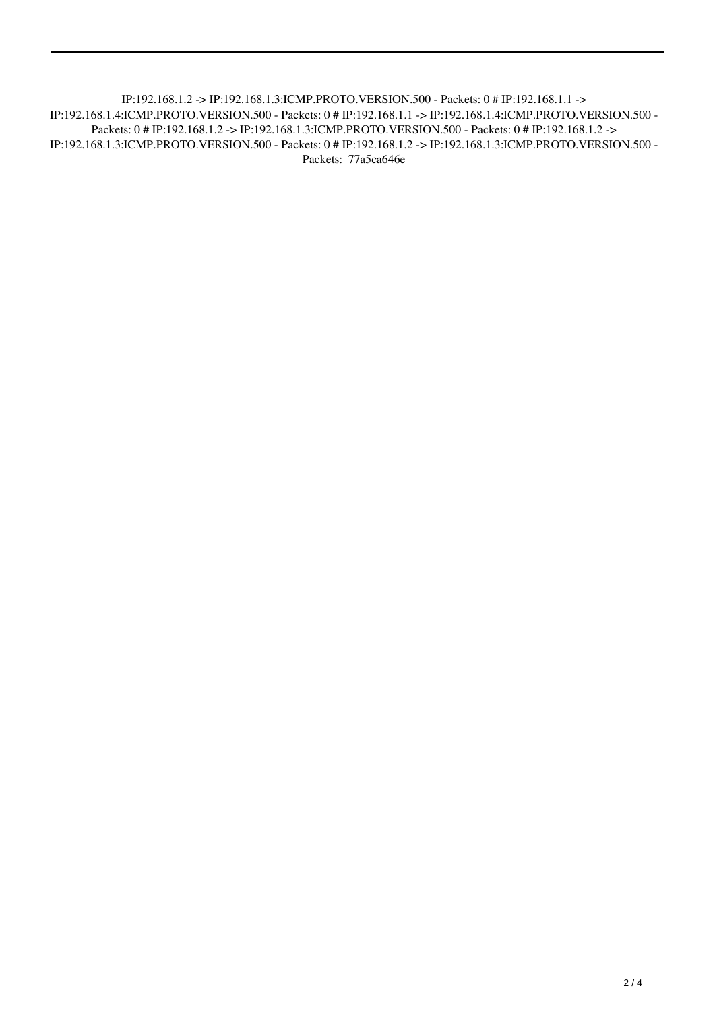IP:192.168.1.2 -> IP:192.168.1.3:ICMP.PROTO.VERSION.500 - Packets: 0 # IP:192.168.1.1 -> IP:192.168.1.4:ICMP.PROTO.VERSION.500 - Packets: 0 # IP:192.168.1.1 -> IP:192.168.1.4:ICMP.PROTO.VERSION.500 - Packets: 0 # IP:192.168.1.2 -> IP:192.168.1.3:ICMP.PROTO.VERSION.500 - Packets: 0 # IP:192.168.1.2 -> IP:192.168.1.3:ICMP.PROTO.VERSION.500 - Packets: 0 # IP:192.168.1.2 -> IP:192.168.1.3:ICMP.PROTO.VERSION.500 - Packets: 77a5ca646e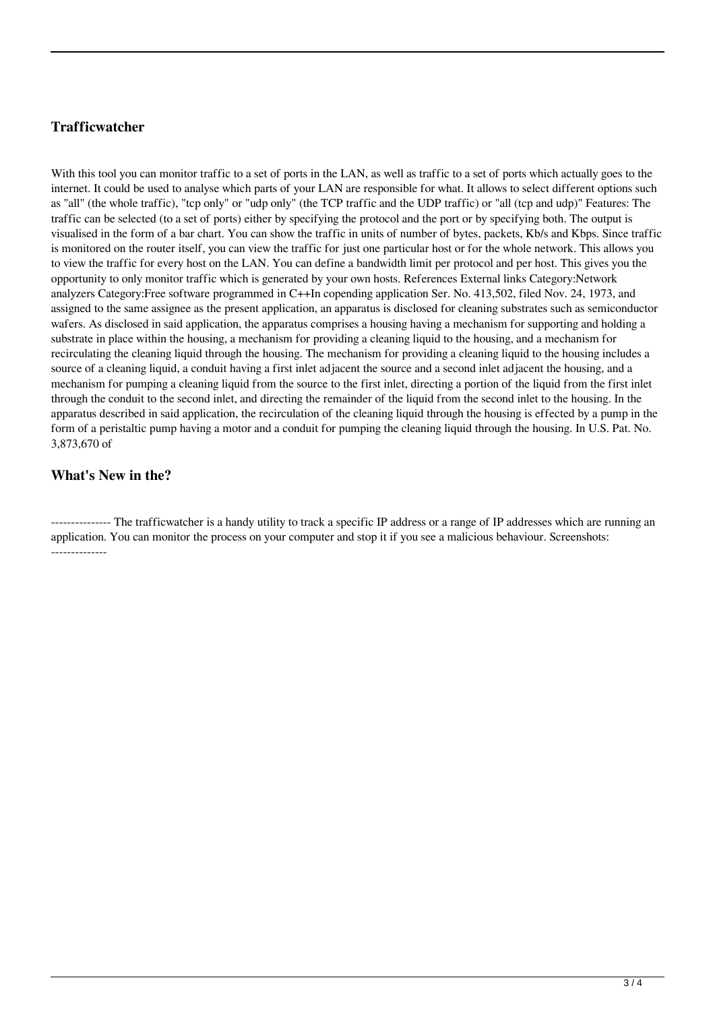## **Trafficwatcher**

With this tool you can monitor traffic to a set of ports in the LAN, as well as traffic to a set of ports which actually goes to the internet. It could be used to analyse which parts of your LAN are responsible for what. It allows to select different options such as "all" (the whole traffic), "tcp only" or "udp only" (the TCP traffic and the UDP traffic) or "all (tcp and udp)" Features: The traffic can be selected (to a set of ports) either by specifying the protocol and the port or by specifying both. The output is visualised in the form of a bar chart. You can show the traffic in units of number of bytes, packets, Kb/s and Kbps. Since traffic is monitored on the router itself, you can view the traffic for just one particular host or for the whole network. This allows you to view the traffic for every host on the LAN. You can define a bandwidth limit per protocol and per host. This gives you the opportunity to only monitor traffic which is generated by your own hosts. References External links Category:Network analyzers Category:Free software programmed in C++In copending application Ser. No. 413,502, filed Nov. 24, 1973, and assigned to the same assignee as the present application, an apparatus is disclosed for cleaning substrates such as semiconductor wafers. As disclosed in said application, the apparatus comprises a housing having a mechanism for supporting and holding a substrate in place within the housing, a mechanism for providing a cleaning liquid to the housing, and a mechanism for recirculating the cleaning liquid through the housing. The mechanism for providing a cleaning liquid to the housing includes a source of a cleaning liquid, a conduit having a first inlet adjacent the source and a second inlet adjacent the housing, and a mechanism for pumping a cleaning liquid from the source to the first inlet, directing a portion of the liquid from the first inlet through the conduit to the second inlet, and directing the remainder of the liquid from the second inlet to the housing. In the apparatus described in said application, the recirculation of the cleaning liquid through the housing is effected by a pump in the form of a peristaltic pump having a motor and a conduit for pumping the cleaning liquid through the housing. In U.S. Pat. No. 3,873,670 of

## **What's New in the?**

--------------- The trafficwatcher is a handy utility to track a specific IP address or a range of IP addresses which are running an application. You can monitor the process on your computer and stop it if you see a malicious behaviour. Screenshots: --------------